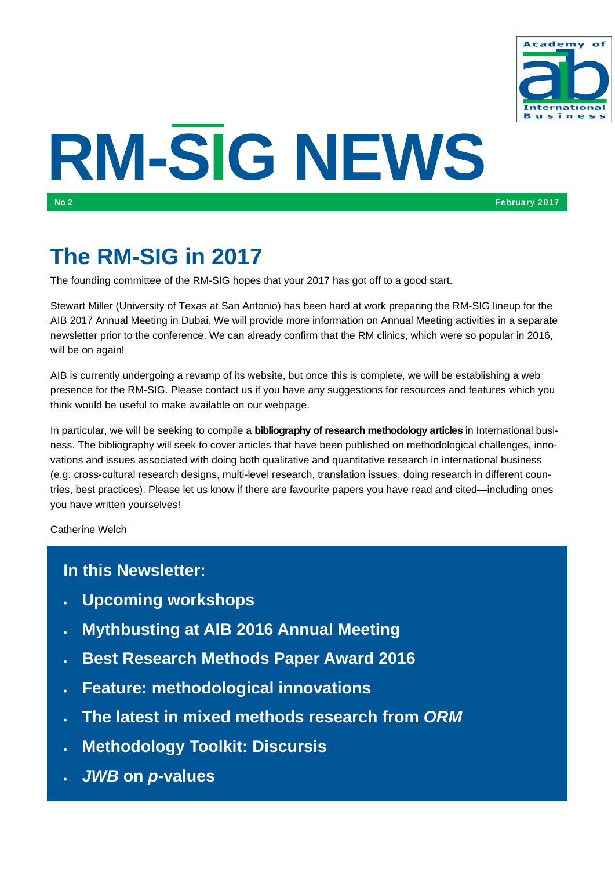

# **RM-SIG NEWS**

# **The RM-SIG in 2017**

The founding committee of the RM-SIG hopes that your 2017 has got off to a good start.

Stewart Miller (University of Texas at San Antonio) has been hard at work preparing the RM-SIG lineup for the AIB 2017 Annual Meeting in Dubai. We will provide more information on Annual Meeting activities in a separate newsletter prior to the conference. We can already confirm that the RM clinics, which were so popular in 2016, will be on again!

AIB is currently undergoing a revamp of its website, but once this is complete, we will be establishing a web presence for the RM-SIG. Please contact us if you have any suggestions for resources and features which you think would be useful to make available on our webpage.

In particular, we will be seeking to compile a **bibliography of research methodology articles** in International business. The bibliography will seek to cover articles that have been published on methodological challenges, innovations and issues associated with doing both qualitative and quantitative research in international business (e.g. cross-cultural research designs, multi-level research, translation issues, doing research in different countries, best practices). Please let us know if there are favourite papers you have read and cited—including ones you have written yourselves!

Catherine Welch

#### **In this Newsletter:**

- **Upcoming workshops**
- **Mythbusting at AIB 2016 Annual Meeting**
- **Best Research Methods Paper Award 2016**
- **Feature: methodological innovations**
- **The latest in mixed methods research from** *ORM*
- **Methodology Toolkit: Discursis**
- *JWB* **on** *p-***values**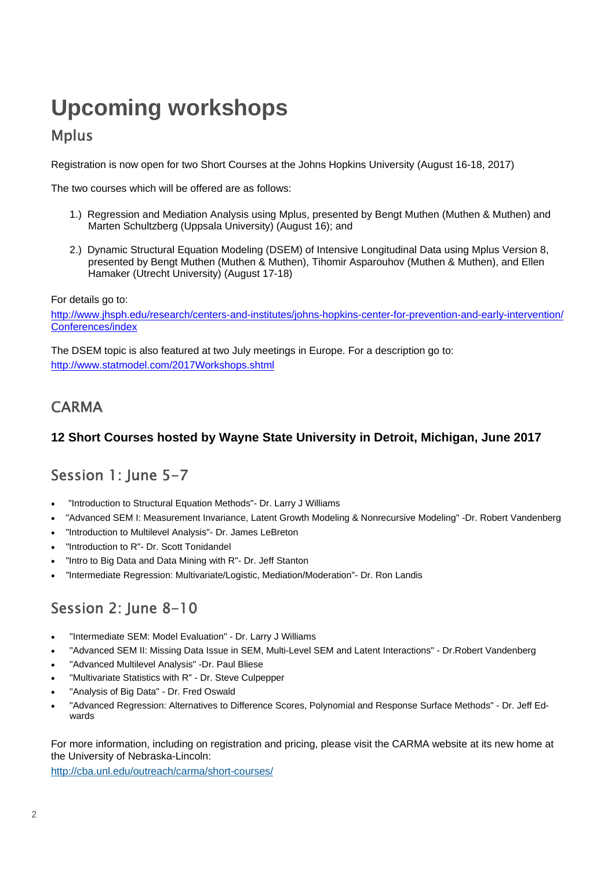# **Upcoming workshops**

#### Mplus

Registration is now open for two Short Courses at the Johns Hopkins University (August 16-18, 2017)

The two courses which will be offered are as follows:

- 1.) Regression and Mediation Analysis using Mplus, presented by Bengt Muthen (Muthen & Muthen) and Marten Schultzberg (Uppsala University) (August 16); and
- 2.) Dynamic Structural Equation Modeling (DSEM) of Intensive Longitudinal Data using Mplus Version 8, presented by Bengt Muthen (Muthen & Muthen), Tihomir Asparouhov (Muthen & Muthen), and Ellen Hamaker (Utrecht University) (August 17-18)

For details go to:

http://www.jhsph.edu/research/centers-and-institutes/johns-hopkins-center-for-prevention-and-early-intervention/ Conferences/index

The DSEM topic is also featured at two July meetings in Europe. For a description go to: http://www.statmodel.com/2017Workshops.shtml

## **CARMA**

#### **12 Short Courses hosted by Wayne State University in Detroit, Michigan, June 2017**

## Session 1: June 5-7

- "Introduction to Structural Equation Methods"- Dr. Larry J Williams
- "Advanced SEM I: Measurement Invariance, Latent Growth Modeling & Nonrecursive Modeling" -Dr. Robert Vandenberg
- "Introduction to Multilevel Analysis"- Dr. James LeBreton
- "Introduction to R"- Dr. Scott Tonidandel
- "Intro to Big Data and Data Mining with R"- Dr. Jeff Stanton
- "Intermediate Regression: Multivariate/Logistic, Mediation/Moderation"- Dr. Ron Landis

## Session 2: June 8-10

- "Intermediate SEM: Model Evaluation" Dr. Larry J Williams
- "Advanced SEM II: Missing Data Issue in SEM, Multi-Level SEM and Latent Interactions" Dr.Robert Vandenberg
- "Advanced Multilevel Analysis" -Dr. Paul Bliese
- "Multivariate Statistics with R" Dr. Steve Culpepper
- "Analysis of Big Data" Dr. Fred Oswald
- "Advanced Regression: Alternatives to Difference Scores, Polynomial and Response Surface Methods" Dr. Jeff Edwards

For more information, including on registration and pricing, please visit the CARMA website at its new home at the University of Nebraska-Lincoln:

http://cba.unl.edu/outreach/carma/short-courses/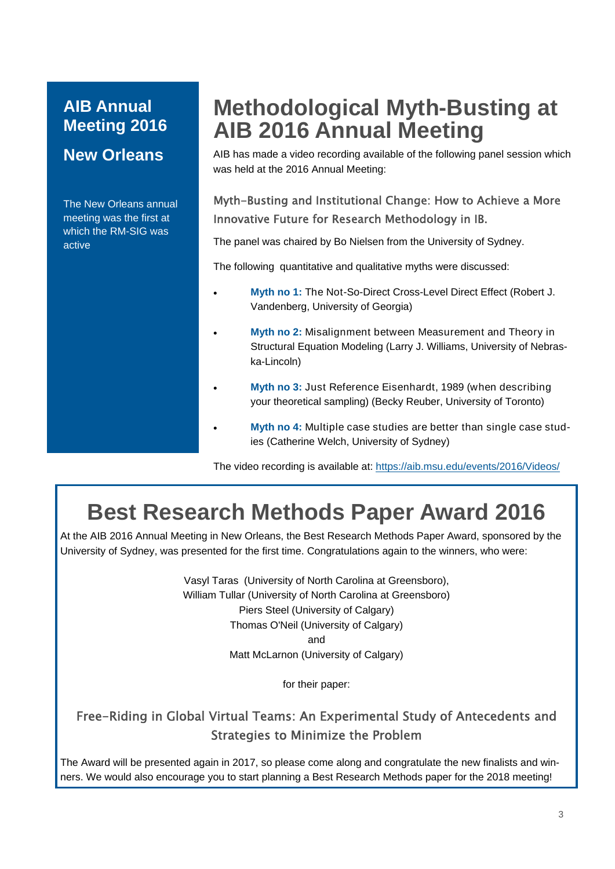## **AIB Annual Meeting 2016**

#### **New Orleans**

The New Orleans annual meeting was the first at which the RM-SIG was active

# **Methodological Myth-Busting at AIB 2016 Annual Meeting**

AIB has made a video recording available of the following panel session which was held at the 2016 Annual Meeting:

#### Myth-Busting and Institutional Change: How to Achieve a More Innovative Future for Research Methodology in IB.

The panel was chaired by Bo Nielsen from the University of Sydney.

The following quantitative and qualitative myths were discussed:

- **Myth no 1:** The Not-So-Direct Cross-Level Direct Effect (Robert J. Vandenberg, University of Georgia)
- **Myth no 2:** Misalignment between Measurement and Theory in Structural Equation Modeling (Larry J. Williams, University of Nebraska-Lincoln)
- **Myth no 3:** Just Reference Eisenhardt, 1989 (when describing your theoretical sampling) (Becky Reuber, University of Toronto)
- **Myth no 4:** Multiple case studies are better than single case studies (Catherine Welch, University of Sydney)

The video recording is available at: https://aib.msu.edu/events/2016/Videos/

# **Best Research Methods Paper Award 2016**

At the AIB 2016 Annual Meeting in New Orleans, the Best Research Methods Paper Award, sponsored by the University of Sydney, was presented for the first time. Congratulations again to the winners, who were:

> Vasyl Taras (University of North Carolina at Greensboro), William Tullar (University of North Carolina at Greensboro) Piers Steel (University of Calgary) Thomas O'Neil (University of Calgary) and Matt McLarnon (University of Calgary)

> > for their paper:

#### Free-Riding in Global Virtual Teams: An Experimental Study of Antecedents and Strategies to Minimize the Problem

The Award will be presented again in 2017, so please come along and congratulate the new finalists and winners. We would also encourage you to start planning a Best Research Methods paper for the 2018 meeting!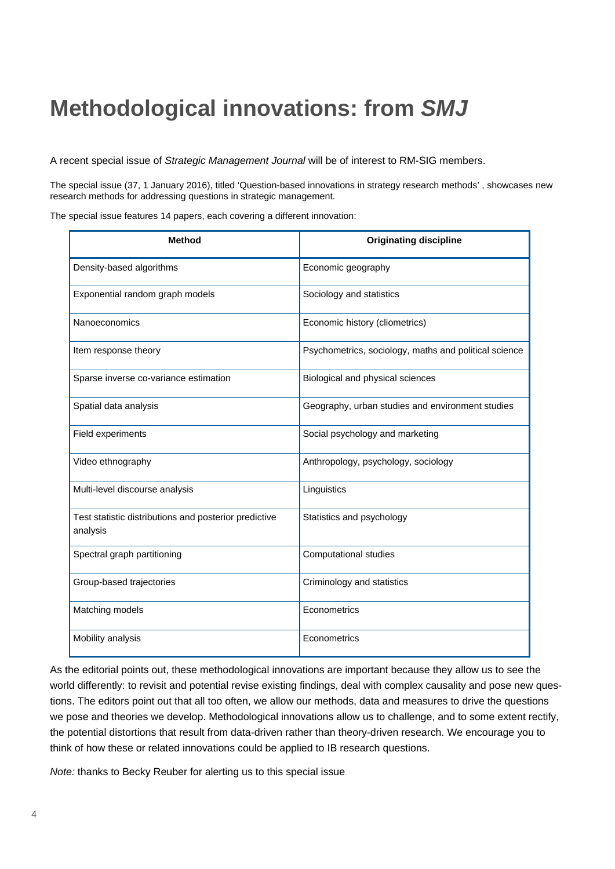# **Methodological innovations: from** *SMJ*

A recent special issue of *Strategic Management Journal* will be of interest to RM-SIG members.

The special issue (37, 1 January 2016), titled 'Question-based innovations in strategy research methods' , showcases new research methods for addressing questions in strategic management.

The special issue features 14 papers, each covering a different innovation:

| <b>Method</b>                                                     | <b>Originating discipline</b>                         |
|-------------------------------------------------------------------|-------------------------------------------------------|
| Density-based algorithms                                          | Economic geography                                    |
| Exponential random graph models                                   | Sociology and statistics                              |
| Nanoeconomics                                                     | Economic history (cliometrics)                        |
| Item response theory                                              | Psychometrics, sociology, maths and political science |
| Sparse inverse co-variance estimation                             | Biological and physical sciences                      |
| Spatial data analysis                                             | Geography, urban studies and environment studies      |
| Field experiments                                                 | Social psychology and marketing                       |
| Video ethnography                                                 | Anthropology, psychology, sociology                   |
| Multi-level discourse analysis                                    | Linguistics                                           |
| Test statistic distributions and posterior predictive<br>analysis | Statistics and psychology                             |
| Spectral graph partitioning                                       | <b>Computational studies</b>                          |
| Group-based trajectories                                          | Criminology and statistics                            |
| Matching models                                                   | Econometrics                                          |
| Mobility analysis                                                 | Econometrics                                          |

As the editorial points out, these methodological innovations are important because they allow us to see the world differently: to revisit and potential revise existing findings, deal with complex causality and pose new questions. The editors point out that all too often, we allow our methods, data and measures to drive the questions we pose and theories we develop. Methodological innovations allow us to challenge, and to some extent rectify, the potential distortions that result from data-driven rather than theory-driven research. We encourage you to think of how these or related innovations could be applied to IB research questions.

*Note:* thanks to Becky Reuber for alerting us to this special issue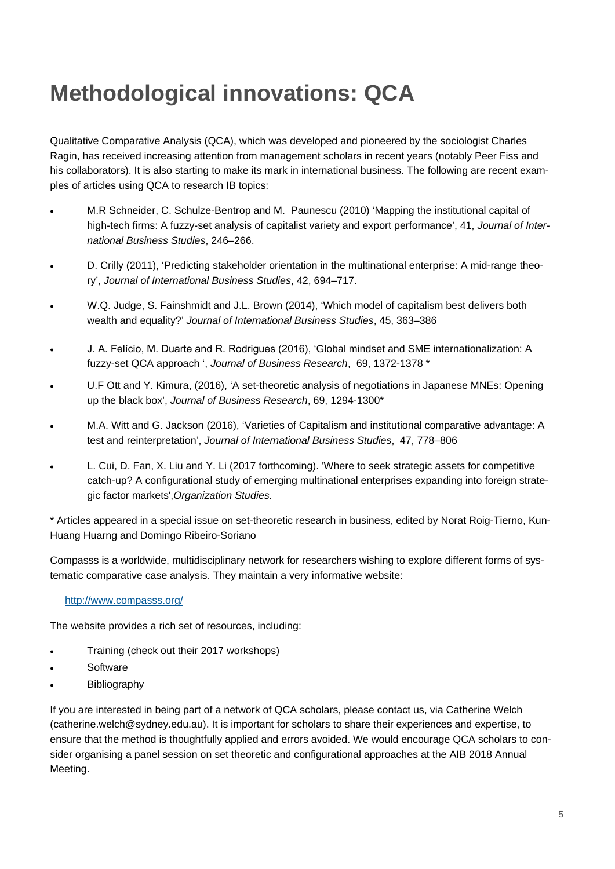# **Methodological innovations: QCA**

Qualitative Comparative Analysis (QCA), which was developed and pioneered by the sociologist Charles Ragin, has received increasing attention from management scholars in recent years (notably Peer Fiss and his collaborators). It is also starting to make its mark in international business. The following are recent examples of articles using QCA to research IB topics:

- M.R Schneider, C. Schulze-Bentrop and M. Paunescu (2010) 'Mapping the institutional capital of high-tech firms: A fuzzy-set analysis of capitalist variety and export performance', 41, *Journal of International Business Studies*, 246–266.
- D. Crilly (2011), 'Predicting stakeholder orientation in the multinational enterprise: A mid-range theory', *Journal of International Business Studies*, 42, 694–717.
- W.Q. Judge, S. Fainshmidt and J.L. Brown (2014), 'Which model of capitalism best delivers both wealth and equality?' *Journal of International Business Studies*, 45, 363–386
- J. A. Felício, M. Duarte and R. Rodrigues (2016), 'Global mindset and SME internationalization: A fuzzy-set QCA approach ', *Journal of Business Research*, 69, 1372-1378 \*
- U.F Ott and Y. Kimura, (2016), 'A set-theoretic analysis of negotiations in Japanese MNEs: Opening up the black box', *Journal of Business Research*, 69, 1294-1300\*
- M.A. Witt and G. Jackson (2016), 'Varieties of Capitalism and institutional comparative advantage: A test and reinterpretation', *Journal of International Business Studies*, 47, 778–806
- L. Cui, D. Fan, X. Liu and Y. Li (2017 forthcoming). 'Where to seek strategic assets for competitive catch-up? A configurational study of emerging multinational enterprises expanding into foreign strategic factor markets',*Organization Studies.*

\* Articles appeared in a special issue on set-theoretic research in business, edited by Norat Roig-Tierno, Kun-Huang Huarng and Domingo Ribeiro-Soriano

Compasss is a worldwide, multidisciplinary network for researchers wishing to explore different forms of systematic comparative case analysis. They maintain a very informative website:

#### http://www.compasss.org/

The website provides a rich set of resources, including:

- Training (check out their 2017 workshops)
- **Software**
- **Bibliography**

If you are interested in being part of a network of QCA scholars, please contact us, via Catherine Welch (catherine.welch@sydney.edu.au). It is important for scholars to share their experiences and expertise, to ensure that the method is thoughtfully applied and errors avoided. We would encourage QCA scholars to consider organising a panel session on set theoretic and configurational approaches at the AIB 2018 Annual Meeting.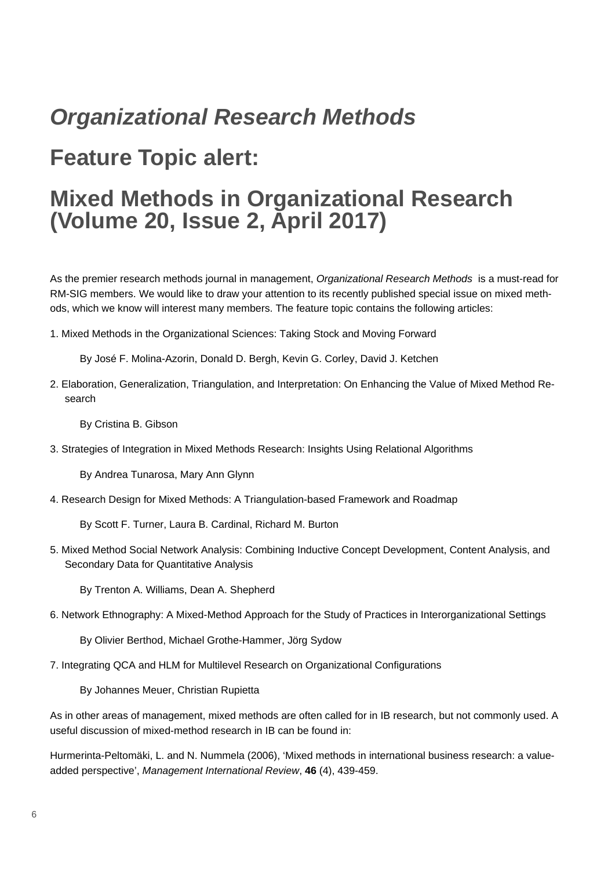# *Organizational Research Methods*

# **Feature Topic alert:**

## **Mixed Methods in Organizational Research (Volume 20, Issue 2, April 2017)**

As the premier research methods journal in management, *Organizational Research Methods* is a must-read for RM-SIG members. We would like to draw your attention to its recently published special issue on mixed methods, which we know will interest many members. The feature topic contains the following articles:

1. Mixed Methods in the Organizational Sciences: Taking Stock and Moving Forward

By José F. Molina-Azorin, Donald D. Bergh, Kevin G. Corley, David J. Ketchen

2. Elaboration, Generalization, Triangulation, and Interpretation: On Enhancing the Value of Mixed Method Research

By Cristina B. Gibson

3. Strategies of Integration in Mixed Methods Research: Insights Using Relational Algorithms

By Andrea Tunarosa, Mary Ann Glynn

4. Research Design for Mixed Methods: A Triangulation-based Framework and Roadmap

By Scott F. Turner, Laura B. Cardinal, Richard M. Burton

5. Mixed Method Social Network Analysis: Combining Inductive Concept Development, Content Analysis, and Secondary Data for Quantitative Analysis

By Trenton A. Williams, Dean A. Shepherd

6. Network Ethnography: A Mixed-Method Approach for the Study of Practices in Interorganizational Settings

By Olivier Berthod, Michael Grothe-Hammer, Jörg Sydow

7. Integrating QCA and HLM for Multilevel Research on Organizational Configurations

By Johannes Meuer, Christian Rupietta

As in other areas of management, mixed methods are often called for in IB research, but not commonly used. A useful discussion of mixed-method research in IB can be found in:

Hurmerinta-Peltomäki, L. and N. Nummela (2006), 'Mixed methods in international business research: a valueadded perspective', *Management International Review*, **46** (4), 439-459.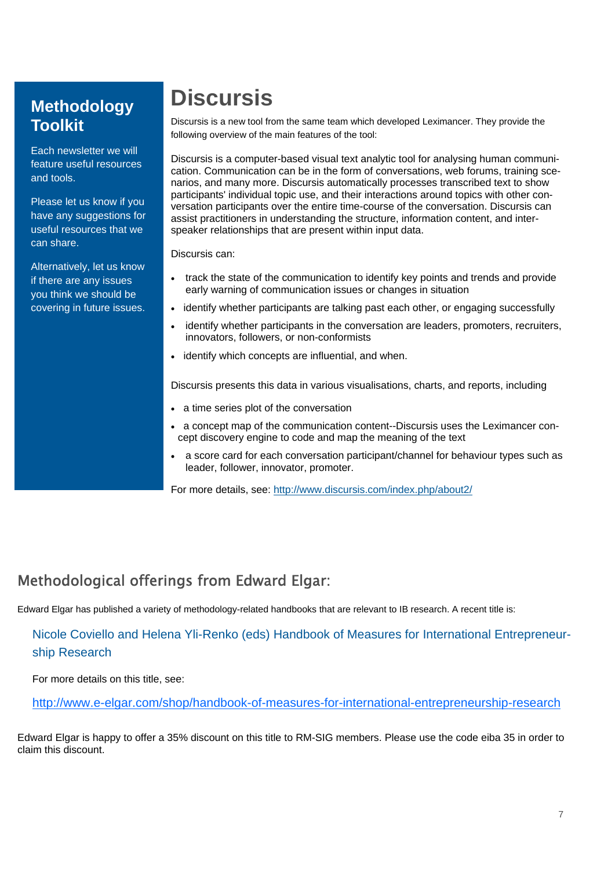#### **Methodology Toolkit**

Each newsletter we will feature useful resources and tools.

Please let us know if you have any suggestions for useful resources that we can share.

Alternatively, let us know if there are any issues you think we should be covering in future issues.

# **Discursis**

Discursis is a new tool from the same team which developed Leximancer. They provide the following overview of the main features of the tool:

Discursis is a computer-based visual text analytic tool for analysing human communication. Communication can be in the form of conversations, web forums, training scenarios, and many more. Discursis automatically processes transcribed text to show participants' individual topic use, and their interactions around topics with other conversation participants over the entire time-course of the conversation. Discursis can assist practitioners in understanding the structure, information content, and interspeaker relationships that are present within input data.

Discursis can:

- track the state of the communication to identify key points and trends and provide early warning of communication issues or changes in situation
- identify whether participants are talking past each other, or engaging successfully
- identify whether participants in the conversation are leaders, promoters, recruiters, innovators, followers, or non-conformists
- identify which concepts are influential, and when.

Discursis presents this data in various visualisations, charts, and reports, including

- a time series plot of the conversation
- a concept map of the communication content--Discursis uses the Leximancer concept discovery engine to code and map the meaning of the text
- a score card for each conversation participant/channel for behaviour types such as leader, follower, innovator, promoter.

For more details, see: http://www.discursis.com/index.php/about2/

## Methodological offerings from Edward Elgar:

Edward Elgar has published a variety of methodology-related handbooks that are relevant to IB research. A recent title is:

#### Nicole Coviello and Helena Yli-Renko (eds) Handbook of Measures for International Entrepreneurship Research

For more details on this title, see:

http://www.e-elgar.com/shop/handbook-of-measures-for-international-entrepreneurship-research

Edward Elgar is happy to offer a 35% discount on this title to RM-SIG members. Please use the code eiba 35 in order to claim this discount.